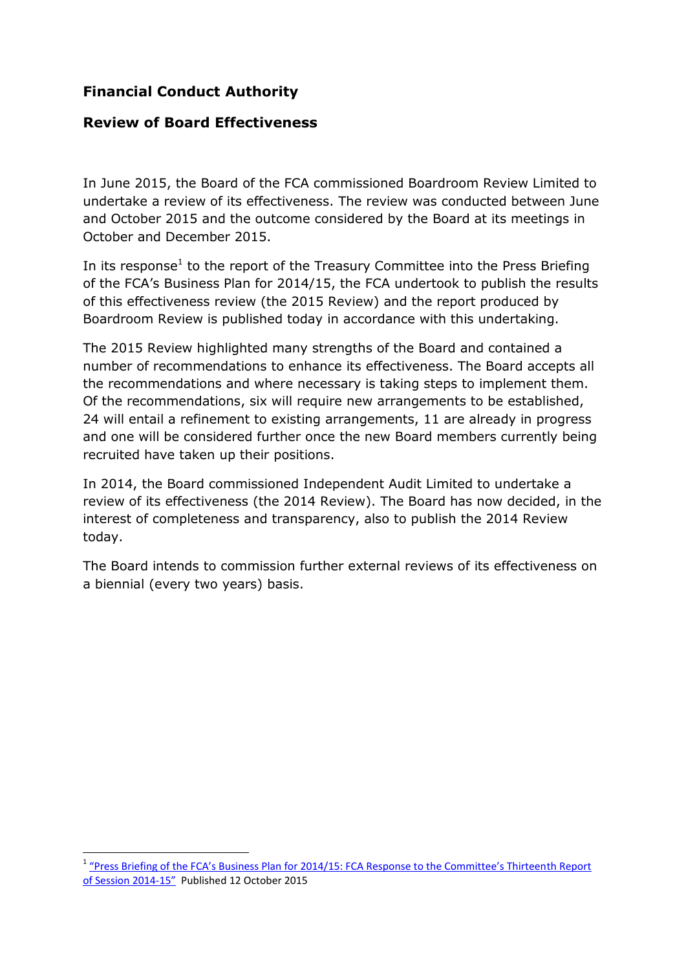#### **Financial Conduct Authority**

#### **Review of Board Effectiveness**

In June 2015, the Board of the FCA commissioned Boardroom Review Limited to undertake a review of its effectiveness. The review was conducted between June and October 2015 and the outcome considered by the Board at its meetings in October and December 2015.

In its response<sup>1</sup> to the report of the Treasury Committee into the Press Briefing of the FCA's Business Plan for 2014/15, the FCA undertook to publish the results of this effectiveness review (the 2015 Review) and the report produced by Boardroom Review is published today in accordance with this undertaking.

The 2015 Review highlighted many strengths of the Board and contained a number of recommendations to enhance its effectiveness. The Board accepts all the recommendations and where necessary is taking steps to implement them. Of the recommendations, six will require new arrangements to be established, 24 will entail a refinement to existing arrangements, 11 are already in progress and one will be considered further once the new Board members currently being recruited have taken up their positions.

In 2014, the Board commissioned Independent Audit Limited to undertake a review of its effectiveness (the 2014 Review). The Board has now decided, in the interest of completeness and transparency, also to publish the 2014 Review today.

The Board intends to commission further external reviews of its effectiveness on a biennial (every two years) basis.

1

<sup>&</sup>lt;sup>1</sup> ["Press Briefing of the FCA's Business Plan for 2014/15: FCA Response to the Committee's Thirteen](http://www.parliament.uk/documents/commons-committees/treasury/FCA-Response-to-13th-TSC-Report-of-2014-15.pdf)th Report [of Session 2014-](http://www.parliament.uk/documents/commons-committees/treasury/FCA-Response-to-13th-TSC-Report-of-2014-15.pdf)15" Published 12 October 2015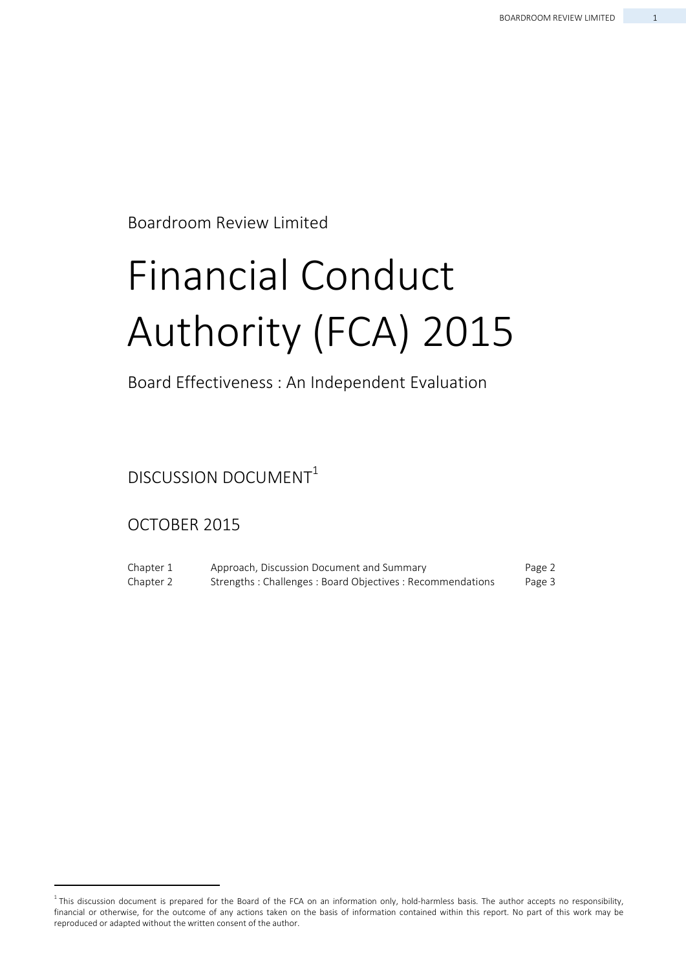Boardroom Review Limited

# Financial Conduct Authority (FCA) 2015

#### Board Effectiveness : An Independent Evaluation

DISCUSSION DOCUMENT<sup>1</sup>

#### OCTOBER 2015

Chapter 1 Chapter 2 Approach, Discussion Document and Summary Strengths : Challenges : Board Objectives : Recommendations Page 2 Page 3

 $1$ This discussion document is prepared for the Board of the FCA on an information only, hold-harmless basis. The author accepts no responsibility, financial or otherwise, for the outcome of any actions taken on the basis of information contained within this report. No part of this work may be reproduced or adapted without the written consent of the author.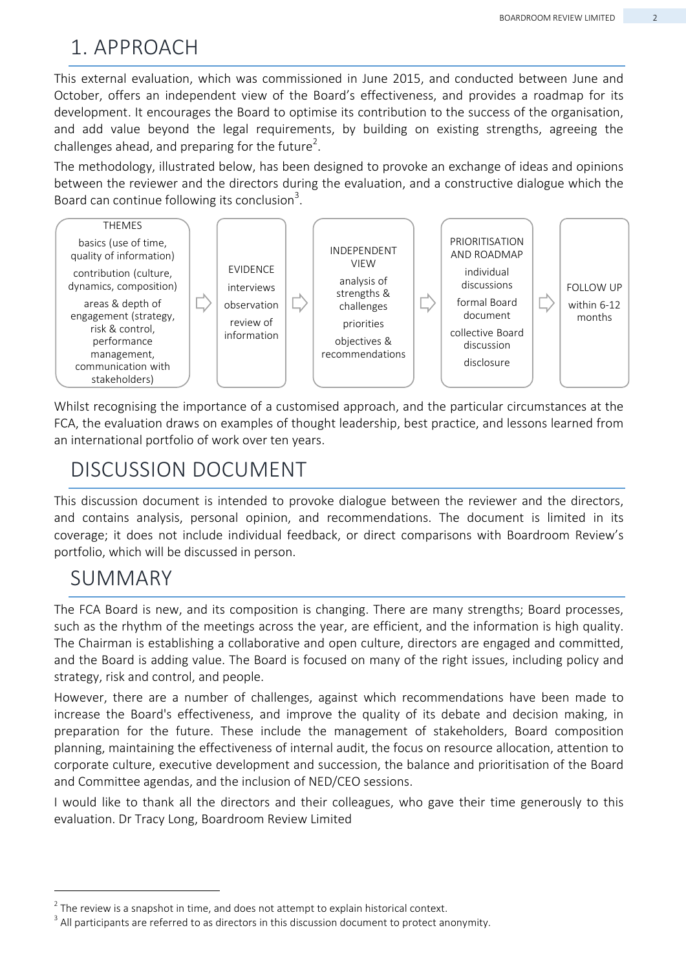# 1. APPROACH

This external evaluation, which was commissioned in June 2015, and conducted between June and October, offers an independent view of the Board's effectiveness, and provides a roadmap for its development. It encourages the Board to optimise its contribution to the success of the organisation, and add value beyond the legal requirements, by building on existing strengths, agreeing the challenges ahead, and preparing for the future<sup>2</sup>.

The methodology, illustrated below, has been designed to provoke an exchange of ideas and opinions between the reviewer and the directors during the evaluation, and a constructive dialogue which the Board can continue following its conclusion<sup>3</sup>.



Whilst recognising the importance of a customised approach, and the particular circumstances at the FCA, the evaluation draws on examples of thought leadership, best practice, and lessons learned from an international portfolio of work over ten years.

# DISCUSSION DOCUMENT

This discussion document is intended to provoke dialogue between the reviewer and the directors, and contains analysis, personal opinion, and recommendations. The document is limited in its coverage; it does not include individual feedback, or direct comparisons with Boardroom Review's portfolio, which will be discussed in person.

## SUMMARY

The FCA Board is new, and its composition is changing. There are many strengths; Board processes, such as the rhythm of the meetings across the year, are efficient, and the information is high quality. The Chairman is establishing a collaborative and open culture, directors are engaged and committed, and the Board is adding value. The Board is focused on many of the right issues, including policy and strategy, risk and control, and people.

However, there are a number of challenges, against which recommendations have been made to increase the Board's effectiveness, and improve the quality of its debate and decision making, in preparation for the future. These include the management of stakeholders, Board composition planning, maintaining the effectiveness of internal audit, the focus on resource allocation, attention to corporate culture, executive development and succession, the balance and prioritisation of the Board and Committee agendas, and the inclusion of NED/CEO sessions.

I would like to thank all the directors and their colleagues, who gave their time generously to this evaluation. Dr Tracy Long, Boardroom Review Limited

 $2$  The review is a snapshot in time, and does not attempt to explain historical context.

 $3$  All participants are referred to as directors in this discussion document to protect anonymity.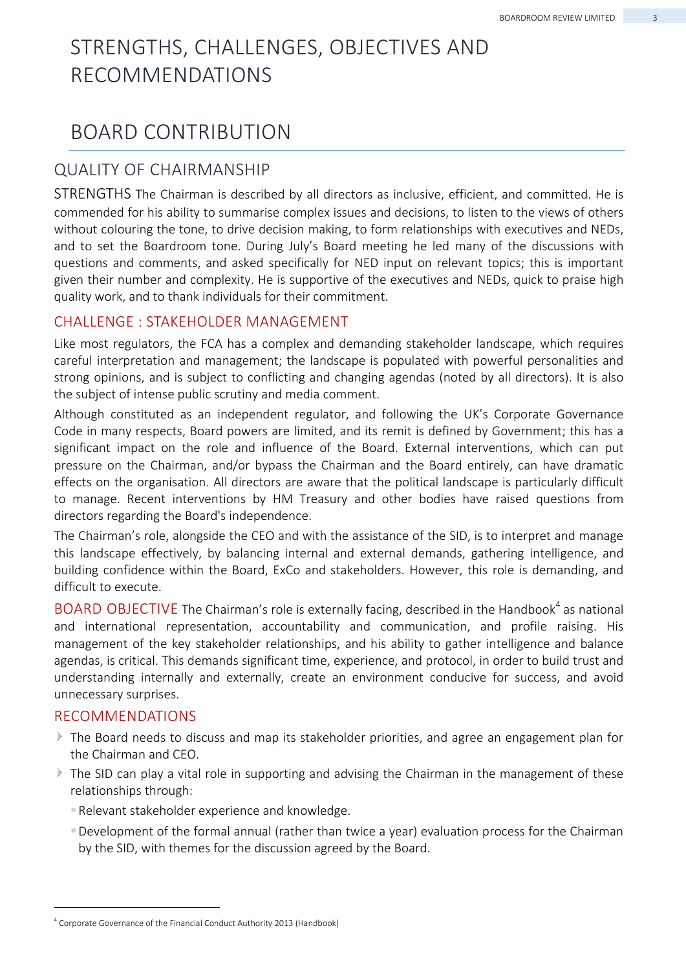# STRENGTHS, CHALLENGES, OBJECTIVES AND RECOMMENDATIONS

## BOARD CONTRIBUTION

#### QUALITY OF CHAIRMANSHIP

STRENGTHS The Chairman is described by all directors as inclusive, efficient, and committed. He is commended for his ability to summarise complex issues and decisions, to listen to the views of others without colouring the tone, to drive decision making, to form relationships with executives and NEDs, and to set the Boardroom tone. During July's Board meeting he led many of the discussions with questions and comments, and asked specifically for NED input on relevant topics; this is important given their number and complexity. He is supportive of the executives and NEDs, quick to praise high quality work, and to thank individuals for their commitment.

#### CHALLENGE : STAKEHOLDER MANAGEMENT

Like most regulators, the FCA has a complex and demanding stakeholder landscape, which requires careful interpretation and management; the landscape is populated with powerful personalities and strong opinions, and is subject to conflicting and changing agendas (noted by all directors). It is also the subject of intense public scrutiny and media comment.

Although constituted as an independent regulator, and following the UK's Corporate Governance Code in many respects, Board powers are limited, and its remit is defined by Government; this has a significant impact on the role and influence of the Board. External interventions, which can put pressure on the Chairman, and/or bypass the Chairman and the Board entirely, can have dramatic effects on the organisation. All directors are aware that the political landscape is particularly difficult to manage. Recent interventions by HM Treasury and other bodies have raised questions from directors regarding the Board's independence.

The Chairman's role, alongside the CEO and with the assistance of the SID, is to interpret and manage this landscape effectively, by balancing internal and external demands, gathering intelligence, and building confidence within the Board, ExCo and stakeholders. However, this role is demanding, and difficult to execute.

BOARD OBJECTIVE The Chairman's role is externally facing, described in the Handbook<sup>4</sup> as national and international representation, accountability and communication, and profile raising. His management of the key stakeholder relationships, and his ability to gather intelligence and balance agendas, is critical. This demands significant time, experience, and protocol, in order to build trust and understanding internally and externally, create an environment conducive for success, and avoid unnecessary surprises.

#### RECOMMENDATIONS

- The Board needs to discuss and map its stakeholder priorities, and agree an engagement plan for the Chairman and CEO.
- The SID can play a vital role in supporting and advising the Chairman in the management of these relationships through:
	- Relevant stakeholder experience and knowledge.
	- Development of the formal annual (rather than twice a year) evaluation process for the Chairman by the SID, with themes for the discussion agreed by the Board.

<sup>&</sup>lt;sup>4</sup> Corporate Governance of the Financial Conduct Authority 2013 (Handbook)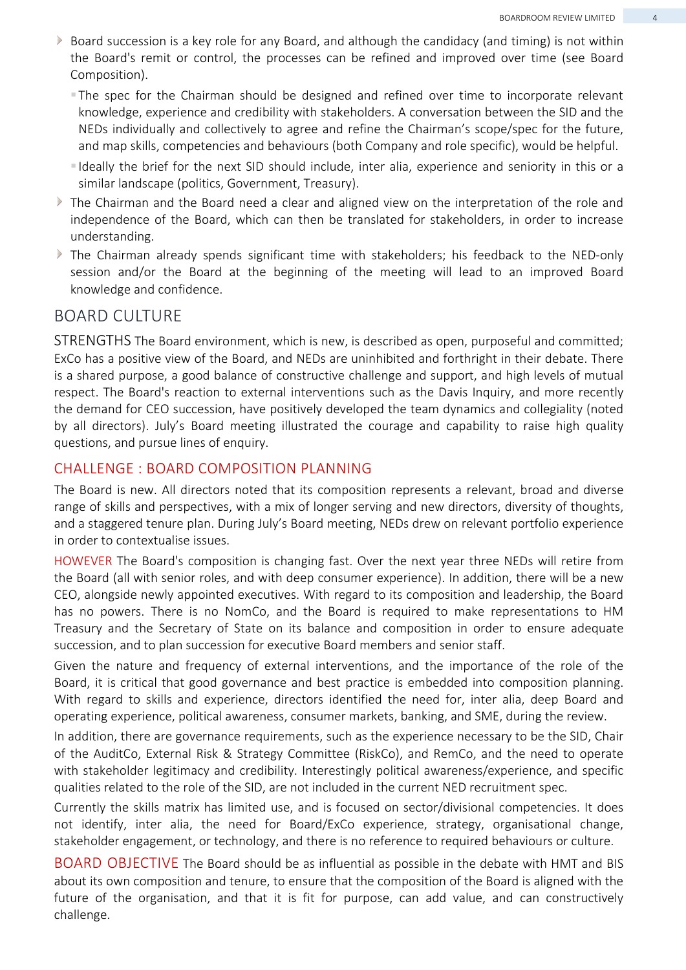- Board succession is a key role for any Board, and although the candidacy (and timing) is not within the Board's remit or control, the processes can be refined and improved over time (see Board Composition).
	- The spec for the Chairman should be designed and refined over time to incorporate relevant knowledge, experience and credibility with stakeholders. A conversation between the SID and the NEDs individually and collectively to agree and refine the Chairman's scope/spec for the future, and map skills, competencies and behaviours (both Company and role specific), would be helpful.
	- I deally the brief for the next SID should include, inter alia, experience and seniority in this or a similar landscape (politics, Government, Treasury).
- $\blacktriangleright$  The Chairman and the Board need a clear and aligned view on the interpretation of the role and independence of the Board, which can then be translated for stakeholders, in order to increase understanding.
- The Chairman already spends significant time with stakeholders; his feedback to the NED-only session and/or the Board at the beginning of the meeting will lead to an improved Board knowledge and confidence.

#### BOARD CULTURE

STRENGTHS The Board environment, which is new, is described as open, purposeful and committed; ExCo has a positive view of the Board, and NEDs are uninhibited and forthright in their debate. There is a shared purpose, a good balance of constructive challenge and support, and high levels of mutual respect. The Board's reaction to external interventions such as the Davis Inquiry, and more recently the demand for CEO succession, have positively developed the team dynamics and collegiality (noted by all directors). July's Board meeting illustrated the courage and capability to raise high quality questions, and pursue lines of enquiry.

#### CHALLENGE : BOARD COMPOSITION PLANNING

The Board is new. All directors noted that its composition represents a relevant, broad and diverse range of skills and perspectives, with a mix of longer serving and new directors, diversity of thoughts, and a staggered tenure plan. During July's Board meeting, NEDs drew on relevant portfolio experience in order to contextualise issues.

HOWEVER The Board's composition is changing fast. Over the next year three NEDs will retire from the Board (all with senior roles, and with deep consumer experience). In addition, there will be a new CEO, alongside newly appointed executives. With regard to its composition and leadership, the Board has no powers. There is no NomCo, and the Board is required to make representations to HM Treasury and the Secretary of State on its balance and composition in order to ensure adequate succession, and to plan succession for executive Board members and senior staff.

Given the nature and frequency of external interventions, and the importance of the role of the Board, it is critical that good governance and best practice is embedded into composition planning. With regard to skills and experience, directors identified the need for, inter alia, deep Board and operating experience, political awareness, consumer markets, banking, and SME, during the review.

In addition, there are governance requirements, such as the experience necessary to be the SID, Chair of the AuditCo, External Risk & Strategy Committee (RiskCo), and RemCo, and the need to operate with stakeholder legitimacy and credibility. Interestingly political awareness/experience, and specific qualities related to the role of the SID, are not included in the current NED recruitment spec.

Currently the skills matrix has limited use, and is focused on sector/divisional competencies. It does not identify, inter alia, the need for Board/ExCo experience, strategy, organisational change, stakeholder engagement, or technology, and there is no reference to required behaviours or culture.

BOARD OBJECTIVE The Board should be as influential as possible in the debate with HMT and BIS about its own composition and tenure, to ensure that the composition of the Board is aligned with the future of the organisation, and that it is fit for purpose, can add value, and can constructively challenge.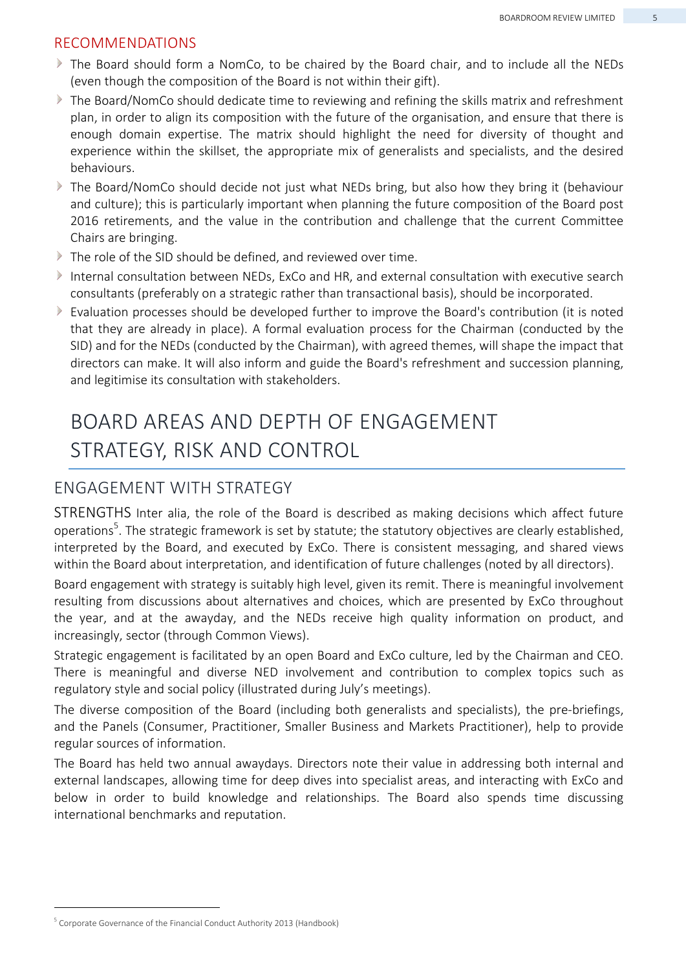#### RECOMMENDATIONS

- $\blacktriangleright$  The Board should form a NomCo, to be chaired by the Board chair, and to include all the NEDs (even though the composition of the Board is not within their gift).
- If the Board/NomCo should dedicate time to reviewing and refining the skills matrix and refreshment plan, in order to align its composition with the future of the organisation, and ensure that there is enough domain expertise. The matrix should highlight the need for diversity of thought and experience within the skillset, the appropriate mix of generalists and specialists, and the desired behaviours.
- The Board/NomCo should decide not just what NEDs bring, but also how they bring it (behaviour and culture); this is particularly important when planning the future composition of the Board post 2016 retirements, and the value in the contribution and challenge that the current Committee Chairs are bringing.
- The role of the SID should be defined, and reviewed over time.
- Internal consultation between NEDs, ExCo and HR, and external consultation with executive search consultants (preferably on a strategic rather than transactional basis), should be incorporated.
- Evaluation processes should be developed further to improve the Board's contribution (it is noted  $\triangleright$ that they are already in place). A formal evaluation process for the Chairman (conducted by the SID) and for the NEDs (conducted by the Chairman), with agreed themes, will shape the impact that directors can make. It will also inform and guide the Board's refreshment and succession planning, and legitimise its consultation with stakeholders.

# BOARD AREAS AND DEPTH OF ENGAGEMENT STRATEGY, RISK AND CONTROL

#### ENGAGEMENT WITH STRATEGY

STRENGTHS Inter alia, the role of the Board is described as making decisions which affect future operations<sup>5</sup>. The strategic framework is set by statute; the statutory objectives are clearly established, interpreted by the Board, and executed by ExCo. There is consistent messaging, and shared views within the Board about interpretation, and identification of future challenges (noted by all directors).

Board engagement with strategy is suitably high level, given its remit. There is meaningful involvement resulting from discussions about alternatives and choices, which are presented by ExCo throughout the year, and at the awayday, and the NEDs receive high quality information on product, and increasingly, sector (through Common Views).

Strategic engagement is facilitated by an open Board and ExCo culture, led by the Chairman and CEO. There is meaningful and diverse NED involvement and contribution to complex topics such as regulatory style and social policy (illustrated during July's meetings).

The diverse composition of the Board (including both generalists and specialists), the pre-briefings, and the Panels (Consumer, Practitioner, Smaller Business and Markets Practitioner), help to provide regular sources of information.

The Board has held two annual awaydays. Directors note their value in addressing both internal and external landscapes, allowing time for deep dives into specialist areas, and interacting with ExCo and below in order to build knowledge and relationships. The Board also spends time discussing international benchmarks and reputation.

<sup>&</sup>lt;sup>5</sup> Corporate Governance of the Financial Conduct Authority 2013 (Handbook)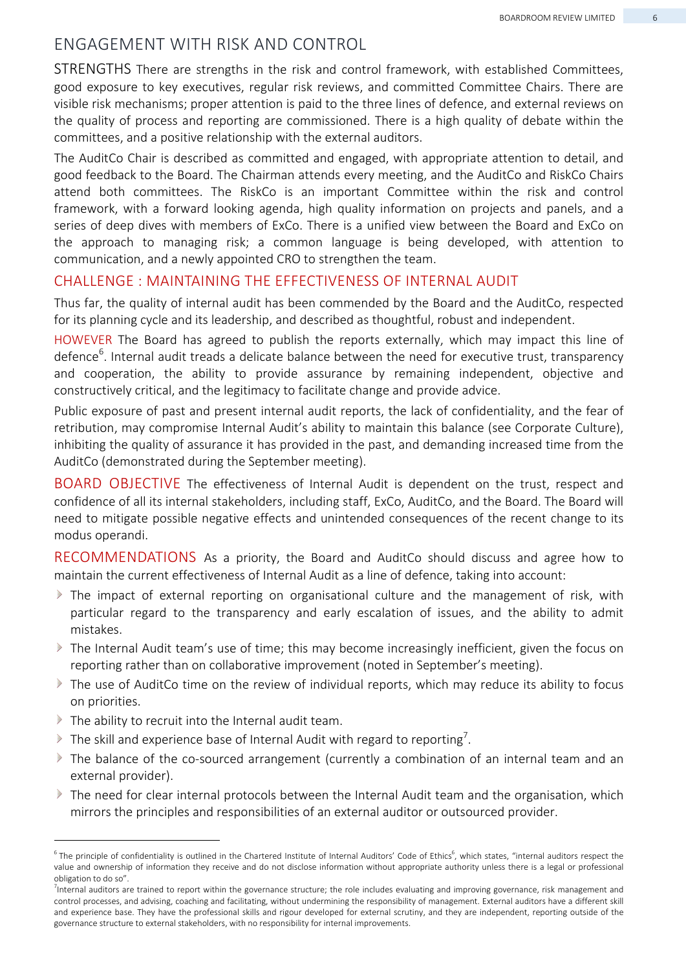#### ENGAGEMENT WITH RISK AND CONTROL

STRENGTHS There are strengths in the risk and control framework, with established Committees, good exposure to key executives, regular risk reviews, and committed Committee Chairs. There are visible risk mechanisms; proper attention is paid to the three lines of defence, and external reviews on the quality of process and reporting are commissioned. There is a high quality of debate within the committees, and a positive relationship with the external auditors.

The AuditCo Chair is described as committed and engaged, with appropriate attention to detail, and good feedback to the Board. The Chairman attends every meeting, and the AuditCo and RiskCo Chairs attend both committees. The RiskCo is an important Committee within the risk and control framework, with a forward looking agenda, high quality information on projects and panels, and a series of deep dives with members of ExCo. There is a unified view between the Board and ExCo on the approach to managing risk; a common language is being developed, with attention to communication, and a newly appointed CRO to strengthen the team.

#### CHALLENGE : MAINTAINING THE EFFECTIVENESS OF INTERNAL AUDIT

Thus far, the quality of internal audit has been commended by the Board and the AuditCo, respected for its planning cycle and its leadership, and described as thoughtful, robust and independent.

HOWEVER The Board has agreed to publish the reports externally, which may impact this line of defence<sup>6</sup>. Internal audit treads a delicate balance between the need for executive trust, transparency and cooperation, the ability to provide assurance by remaining independent, objective and constructively critical, and the legitimacy to facilitate change and provide advice.

Public exposure of past and present internal audit reports, the lack of confidentiality, and the fear of retribution, may compromise Internal Audit's ability to maintain this balance (see Corporate Culture), inhibiting the quality of assurance it has provided in the past, and demanding increased time from the AuditCo (demonstrated during the September meeting).

BOARD OBJECTIVE The effectiveness of Internal Audit is dependent on the trust, respect and confidence of all its internal stakeholders, including staff, ExCo, AuditCo, and the Board. The Board will need to mitigate possible negative effects and unintended consequences of the recent change to its modus operandi.

RECOMMENDATIONS As a priority, the Board and AuditCo should discuss and agree how to maintain the current effectiveness of Internal Audit as a line of defence, taking into account:

- The impact of external reporting on organisational culture and the management of risk, with particular regard to the transparency and early escalation of issues, and the ability to admit mistakes.
- The Internal Audit team's use of time; this may become increasingly inefficient, given the focus on reporting rather than on collaborative improvement (noted in September's meeting).
- $\blacktriangleright$  The use of AuditCo time on the review of individual reports, which may reduce its ability to focus on priorities.
- $\blacktriangleright$  The ability to recruit into the Internal audit team.
- The skill and experience base of Internal Audit with regard to reporting<sup>7</sup>.
- The balance of the co-sourced arrangement (currently a combination of an internal team and an external provider).
- $\blacktriangleright$  The need for clear internal protocols between the Internal Audit team and the organisation, which mirrors the principles and responsibilities of an external auditor or outsourced provider.

 $^6$  The principle of confidentiality is outlined in the Chartered Institute of Internal Auditors' Code of Ethics $^6$ , which states, "internal auditors respect the  $^6$ value and ownership of information they receive and do not disclose information without appropriate authority unless there is a legal or professional obligation to do so".

<sup>&</sup>lt;sup>7</sup>Internal auditors are trained to report within the governance structure; the role includes evaluating and improving governance, risk management and control processes, and advising, coaching and facilitating, without undermining the responsibility of management. External auditors have a different skill and experience base. They have the professional skills and rigour developed for external scrutiny, and they are independent, reporting outside of the governance structure to external stakeholders, with no responsibility for internal improvements.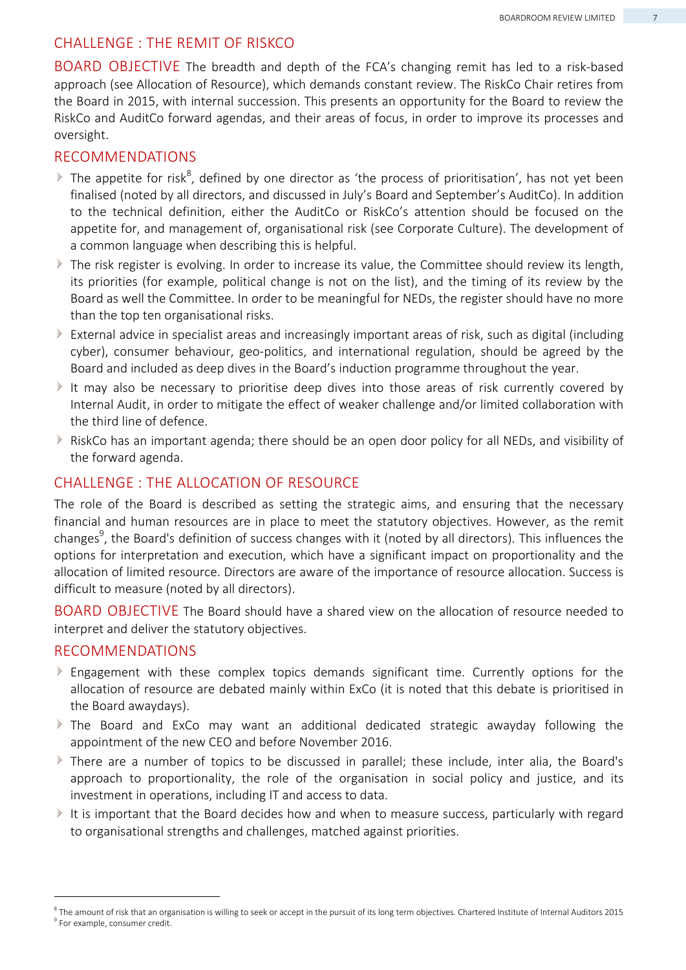#### CHALLENGE : THE REMIT OF RISKCO

BOARD OBJECTIVE The breadth and depth of the FCA's changing remit has led to a risk-based approach (see Allocation of Resource), which demands constant review. The RiskCo Chair retires from the Board in 2015, with internal succession. This presents an opportunity for the Board to review the RiskCo and AuditCo forward agendas, and their areas of focus, in order to improve its processes and oversight.

#### RECOMMENDATIONS

- The appetite for risk<sup>8</sup>, defined by one director as 'the process of prioritisation', has not yet been finalised (noted by all directors, and discussed in July's Board and September's AuditCo). In addition to the technical definition, either the AuditCo or RiskCo's attention should be focused on the appetite for, and management of, organisational risk (see Corporate Culture). The development of a common language when describing this is helpful.
- The risk register is evolving. In order to increase its value, the Committee should review its length, its priorities (for example, political change is not on the list), and the timing of its review by the Board as well the Committee. In order to be meaningful for NEDs, the register should have no more than the top ten organisational risks.
- External advice in specialist areas and increasingly important areas of risk, such as digital (including cyber), consumer behaviour, geo-politics, and international regulation, should be agreed by the Board and included as deep dives in the Board's induction programme throughout the year.
- $\triangleright$ It may also be necessary to prioritise deep dives into those areas of risk currently covered by Internal Audit, in order to mitigate the effect of weaker challenge and/or limited collaboration with the third line of defence.
- RiskCo has an important agenda; there should be an open door policy for all NEDs, and visibility of the forward agenda.

#### CHALLENGE : THE ALLOCATION OF RESOURCE

The role of the Board is described as setting the strategic aims, and ensuring that the necessary financial and human resources are in place to meet the statutory objectives. However, as the remit changes<sup>9</sup>, the Board's definition of success changes with it (noted by all directors). This influences the options for interpretation and execution, which have a significant impact on proportionality and the allocation of limited resource. Directors are aware of the importance of resource allocation. Success is difficult to measure (noted by all directors).

BOARD OBJECTIVE The Board should have a shared view on the allocation of resource needed to interpret and deliver the statutory objectives.

#### RECOMMENDATIONS

- Engagement with these complex topics demands significant time. Currently options for the  $\triangleright$ allocation of resource are debated mainly within ExCo (it is noted that this debate is prioritised in the Board awaydays).
- The Board and ExCo may want an additional dedicated strategic awayday following the appointment of the new CEO and before November 2016.
- There are a number of topics to be discussed in parallel; these include, inter alia, the Board's approach to proportionality, the role of the organisation in social policy and justice, and its investment in operations, including IT and access to data.
- It is important that the Board decides how and when to measure success, particularly with regard to organisational strengths and challenges, matched against priorities.

 $^{\text{3}}$  The amount of risk that an organisation is willing to seek or accept in the pursuit of its long term objectives. Chartered Institute of Internal Auditors 2015 <sup>9</sup> For example, consumer credit.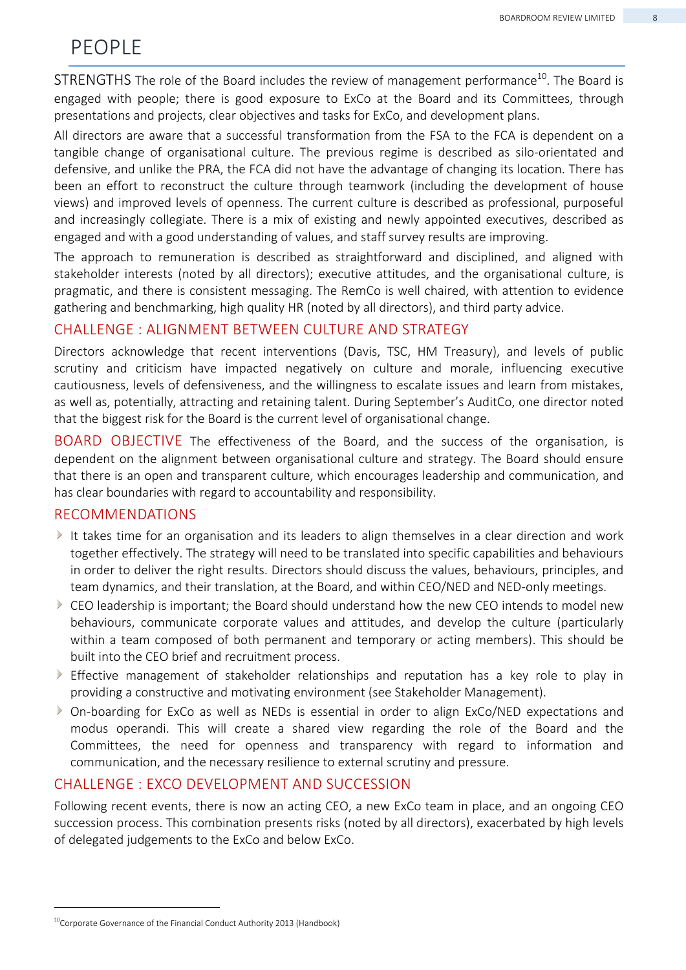## PEOPLE

STRENGTHS The role of the Board includes the review of management performance<sup>10</sup>. The Board is engaged with people; there is good exposure to ExCo at the Board and its Committees, through presentations and projects, clear objectives and tasks for ExCo, and development plans.

All directors are aware that a successful transformation from the FSA to the FCA is dependent on a tangible change of organisational culture. The previous regime is described as silo-orientated and defensive, and unlike the PRA, the FCA did not have the advantage of changing its location. There has been an effort to reconstruct the culture through teamwork (including the development of house views) and improved levels of openness. The current culture is described as professional, purposeful and increasingly collegiate. There is a mix of existing and newly appointed executives, described as engaged and with a good understanding of values, and staff survey results are improving.

The approach to remuneration is described as straightforward and disciplined, and aligned with stakeholder interests (noted by all directors); executive attitudes, and the organisational culture, is pragmatic, and there is consistent messaging. The RemCo is well chaired, with attention to evidence gathering and benchmarking, high quality HR (noted by all directors), and third party advice.

#### CHALLENGE : ALIGNMENT BETWEEN CULTURE AND STRATEGY

Directors acknowledge that recent interventions (Davis, TSC, HM Treasury), and levels of public scrutiny and criticism have impacted negatively on culture and morale, influencing executive cautiousness, levels of defensiveness, and the willingness to escalate issues and learn from mistakes, as well as, potentially, attracting and retaining talent. During September's AuditCo, one director noted that the biggest risk for the Board is the current level of organisational change.

BOARD OBJECTIVE The effectiveness of the Board, and the success of the organisation, is dependent on the alignment between organisational culture and strategy. The Board should ensure that there is an open and transparent culture, which encourages leadership and communication, and has clear boundaries with regard to accountability and responsibility.

#### RECOMMENDATIONS

- It takes time for an organisation and its leaders to align themselves in a clear direction and work together effectively. The strategy will need to be translated into specific capabilities and behaviours in order to deliver the right results. Directors should discuss the values, behaviours, principles, and team dynamics, and their translation, at the Board, and within CEO/NED and NED-only meetings.
- CEO leadership is important; the Board should understand how the new CEO intends to model new behaviours, communicate corporate values and attitudes, and develop the culture (particularly within a team composed of both permanent and temporary or acting members). This should be built into the CEO brief and recruitment process.
- Effective management of stakeholder relationships and reputation has a key role to play in providing a constructive and motivating environment (see Stakeholder Management).
- On-boarding for ExCo as well as NEDs is essential in order to align ExCo/NED expectations and modus operandi. This will create a shared view regarding the role of the Board and the Committees, the need for openness and transparency with regard to information and communication, and the necessary resilience to external scrutiny and pressure.

#### CHALLENGE : EXCO DEVELOPMENT AND SUCCESSION

Following recent events, there is now an acting CEO, a new ExCo team in place, and an ongoing CEO succession process. This combination presents risks (noted by all directors), exacerbated by high levels of delegated judgements to the ExCo and below ExCo.

<sup>&</sup>lt;sup>10</sup>Corporate Governance of the Financial Conduct Authority 2013 (Handbook)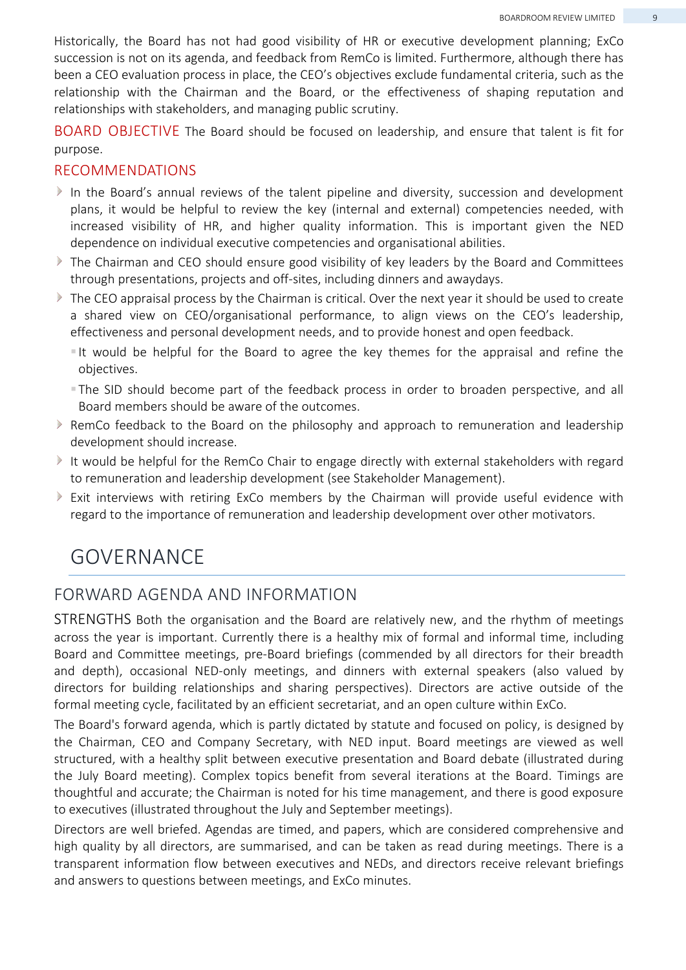Historically, the Board has not had good visibility of HR or executive development planning; ExCo succession is not on its agenda, and feedback from RemCo is limited. Furthermore, although there has been a CEO evaluation process in place, the CEO's objectives exclude fundamental criteria, such as the relationship with the Chairman and the Board, or the effectiveness of shaping reputation and relationships with stakeholders, and managing public scrutiny.

BOARD OBJECTIVE The Board should be focused on leadership, and ensure that talent is fit for purpose.

#### RECOMMENDATIONS

- In the Board's annual reviews of the talent pipeline and diversity, succession and development plans, it would be helpful to review the key (internal and external) competencies needed, with increased visibility of HR, and higher quality information. This is important given the NED dependence on individual executive competencies and organisational abilities.
- The Chairman and CEO should ensure good visibility of key leaders by the Board and Committees through presentations, projects and off-sites, including dinners and awaydays.
- $\triangleright$  The CEO appraisal process by the Chairman is critical. Over the next year it should be used to create a shared view on CEO/organisational performance, to align views on the CEO's leadership, effectiveness and personal development needs, and to provide honest and open feedback.
	- It would be helpful for the Board to agree the key themes for the appraisal and refine the objectives.
	- The SID should become part of the feedback process in order to broaden perspective, and all Board members should be aware of the outcomes.
- $\triangleright$  RemCo feedback to the Board on the philosophy and approach to remuneration and leadership development should increase.
- It would be helpful for the RemCo Chair to engage directly with external stakeholders with regard to remuneration and leadership development (see Stakeholder Management).
- Exit interviews with retiring ExCo members by the Chairman will provide useful evidence with regard to the importance of remuneration and leadership development over other motivators.

## GOVERNANCE

#### FORWARD AGENDA AND INFORMATION

STRENGTHS Both the organisation and the Board are relatively new, and the rhythm of meetings across the year is important. Currently there is a healthy mix of formal and informal time, including Board and Committee meetings, pre-Board briefings (commended by all directors for their breadth and depth), occasional NED-only meetings, and dinners with external speakers (also valued by directors for building relationships and sharing perspectives). Directors are active outside of the formal meeting cycle, facilitated by an efficient secretariat, and an open culture within ExCo.

The Board's forward agenda, which is partly dictated by statute and focused on policy, is designed by the Chairman, CEO and Company Secretary, with NED input. Board meetings are viewed as well structured, with a healthy split between executive presentation and Board debate (illustrated during the July Board meeting). Complex topics benefit from several iterations at the Board. Timings are thoughtful and accurate; the Chairman is noted for his time management, and there is good exposure to executives (illustrated throughout the July and September meetings).

Directors are well briefed. Agendas are timed, and papers, which are considered comprehensive and high quality by all directors, are summarised, and can be taken as read during meetings. There is a transparent information flow between executives and NEDs, and directors receive relevant briefings and answers to questions between meetings, and ExCo minutes.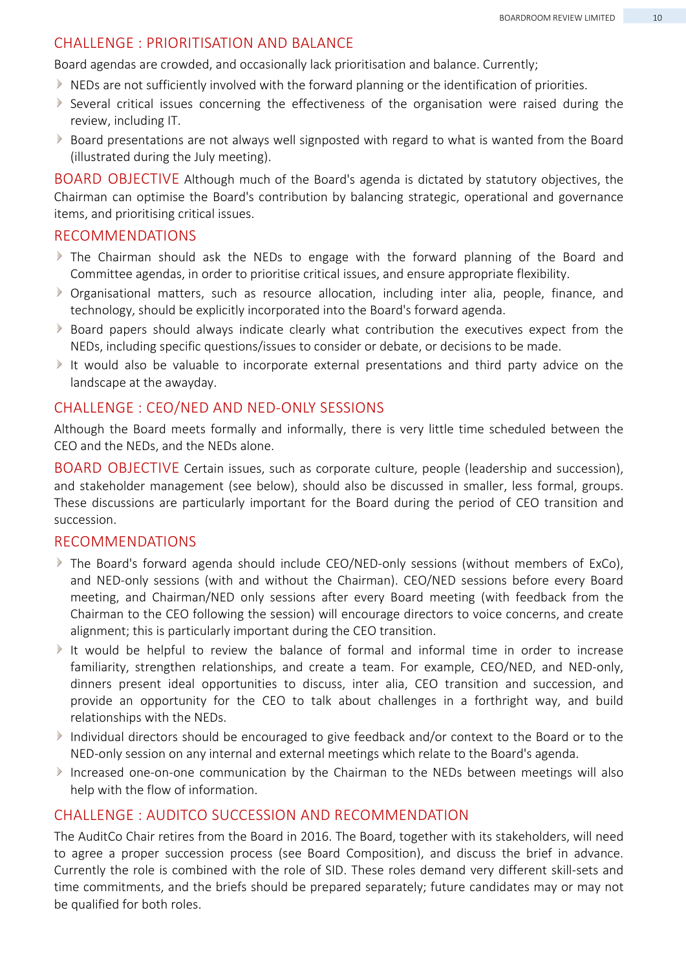#### CHALLENGE : PRIORITISATION AND BALANCE

Board agendas are crowded, and occasionally lack prioritisation and balance. Currently;

- NEDs are not sufficiently involved with the forward planning or the identification of priorities.
- $\triangleright$  Several critical issues concerning the effectiveness of the organisation were raised during the review, including IT.
- Board presentations are not always well signposted with regard to what is wanted from the Board (illustrated during the July meeting).

BOARD OBJECTIVE Although much of the Board's agenda is dictated by statutory objectives, the Chairman can optimise the Board's contribution by balancing strategic, operational and governance items, and prioritising critical issues.

#### RECOMMENDATIONS

- The Chairman should ask the NEDs to engage with the forward planning of the Board and Committee agendas, in order to prioritise critical issues, and ensure appropriate flexibility.
- Organisational matters, such as resource allocation, including inter alia, people, finance, and technology, should be explicitly incorporated into the Board's forward agenda.
- $\triangleright$  Board papers should always indicate clearly what contribution the executives expect from the NEDs, including specific questions/issues to consider or debate, or decisions to be made.
- It would also be valuable to incorporate external presentations and third party advice on the landscape at the awayday.

#### CHALLENGE : CEO/NED AND NED-ONLY SESSIONS

Although the Board meets formally and informally, there is very little time scheduled between the CEO and the NEDs, and the NEDs alone.

BOARD OBJECTIVE Certain issues, such as corporate culture, people (leadership and succession), and stakeholder management (see below), should also be discussed in smaller, less formal, groups. These discussions are particularly important for the Board during the period of CEO transition and succession.

#### RECOMMENDATIONS

- The Board's forward agenda should include CEO/NED-only sessions (without members of ExCo), and NED-only sessions (with and without the Chairman). CEO/NED sessions before every Board meeting, and Chairman/NED only sessions after every Board meeting (with feedback from the Chairman to the CEO following the session) will encourage directors to voice concerns, and create alignment; this is particularly important during the CEO transition.
- It would be helpful to review the balance of formal and informal time in order to increase familiarity, strengthen relationships, and create a team. For example, CEO/NED, and NED-only, dinners present ideal opportunities to discuss, inter alia, CEO transition and succession, and provide an opportunity for the CEO to talk about challenges in a forthright way, and build relationships with the NEDs.
- Individual directors should be encouraged to give feedback and/or context to the Board or to the NED-only session on any internal and external meetings which relate to the Board's agenda.
- Increased one-on-one communication by the Chairman to the NEDs between meetings will also help with the flow of information.

#### CHALLENGE : AUDITCO SUCCESSION AND RECOMMENDATION

The AuditCo Chair retires from the Board in 2016. The Board, together with its stakeholders, will need to agree a proper succession process (see Board Composition), and discuss the brief in advance. Currently the role is combined with the role of SID. These roles demand very different skill-sets and time commitments, and the briefs should be prepared separately; future candidates may or may not be qualified for both roles.